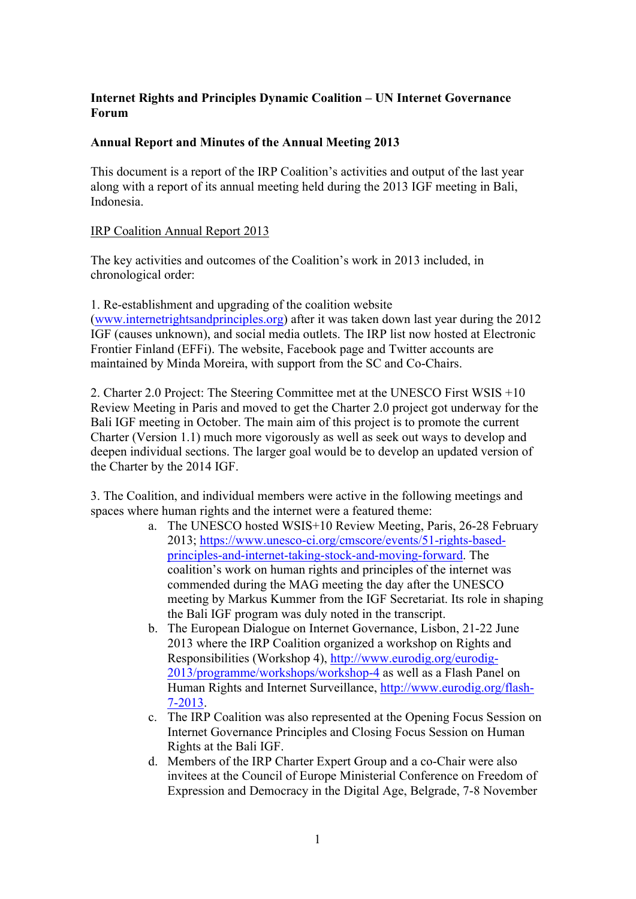## **Internet Rights and Principles Dynamic Coalition – UN Internet Governance Forum**

## **Annual Report and Minutes of the Annual Meeting 2013**

This document is a report of the IRP Coalition's activities and output of the last year along with a report of its annual meeting held during the 2013 IGF meeting in Bali, Indonesia.

## IRP Coalition Annual Report 2013

The key activities and outcomes of the Coalition's work in 2013 included, in chronological order:

1. Re-establishment and upgrading of the coalition website (www.internetrightsandprinciples.org) after it was taken down last year during the 2012 IGF (causes unknown), and social media outlets. The IRP list now hosted at Electronic Frontier Finland (EFFi). The website, Facebook page and Twitter accounts are maintained by Minda Moreira, with support from the SC and Co-Chairs.

2. Charter 2.0 Project: The Steering Committee met at the UNESCO First WSIS +10 Review Meeting in Paris and moved to get the Charter 2.0 project got underway for the Bali IGF meeting in October. The main aim of this project is to promote the current Charter (Version 1.1) much more vigorously as well as seek out ways to develop and deepen individual sections. The larger goal would be to develop an updated version of the Charter by the 2014 IGF.

3. The Coalition, and individual members were active in the following meetings and spaces where human rights and the internet were a featured theme:

- a. The UNESCO hosted WSIS+10 Review Meeting, Paris, 26-28 February 2013; https://www.unesco-ci.org/cmscore/events/51-rights-basedprinciples-and-internet-taking-stock-and-moving-forward. The coalition's work on human rights and principles of the internet was commended during the MAG meeting the day after the UNESCO meeting by Markus Kummer from the IGF Secretariat. Its role in shaping the Bali IGF program was duly noted in the transcript.
- b. The European Dialogue on Internet Governance, Lisbon, 21-22 June 2013 where the IRP Coalition organized a workshop on Rights and Responsibilities (Workshop 4), http://www.eurodig.org/eurodig-2013/programme/workshops/workshop-4 as well as a Flash Panel on Human Rights and Internet Surveillance, http://www.eurodig.org/flash-7-2013.
- c. The IRP Coalition was also represented at the Opening Focus Session on Internet Governance Principles and Closing Focus Session on Human Rights at the Bali IGF.
- d. Members of the IRP Charter Expert Group and a co-Chair were also invitees at the Council of Europe Ministerial Conference on Freedom of Expression and Democracy in the Digital Age, Belgrade, 7-8 November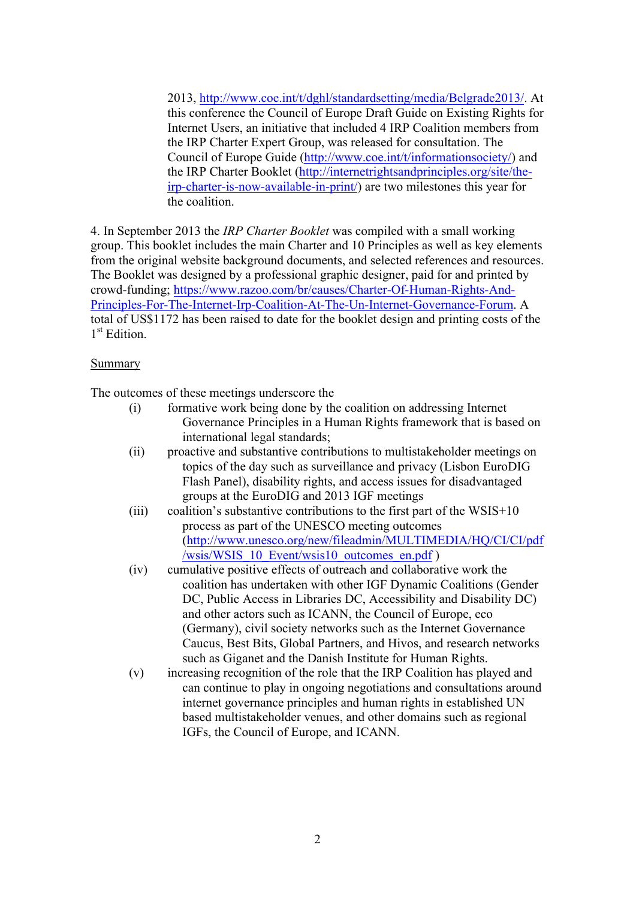2013, http://www.coe.int/t/dghl/standardsetting/media/Belgrade2013/. At this conference the Council of Europe Draft Guide on Existing Rights for Internet Users, an initiative that included 4 IRP Coalition members from the IRP Charter Expert Group, was released for consultation. The Council of Europe Guide (http://www.coe.int/t/informationsociety/) and the IRP Charter Booklet (http://internetrightsandprinciples.org/site/theirp-charter-is-now-available-in-print/) are two milestones this year for the coalition.

4. In September 2013 the *IRP Charter Booklet* was compiled with a small working group. This booklet includes the main Charter and 10 Principles as well as key elements from the original website background documents, and selected references and resources. The Booklet was designed by a professional graphic designer, paid for and printed by crowd-funding; https://www.razoo.com/br/causes/Charter-Of-Human-Rights-And-Principles-For-The-Internet-Irp-Coalition-At-The-Un-Internet-Governance-Forum. A total of US\$1172 has been raised to date for the booklet design and printing costs of the 1<sup>st</sup> Edition

### Summary

The outcomes of these meetings underscore the

| (i)         | formative work being done by the coalition on addressing Internet  |
|-------------|--------------------------------------------------------------------|
|             | Governance Principles in a Human Rights framework that is based on |
|             | international legal standards;                                     |
| $\sqrt{22}$ |                                                                    |

- (ii) proactive and substantive contributions to multistakeholder meetings on topics of the day such as surveillance and privacy (Lisbon EuroDIG Flash Panel), disability rights, and access issues for disadvantaged groups at the EuroDIG and 2013 IGF meetings
- (iii) coalition's substantive contributions to the first part of the  $WSIS+10$ process as part of the UNESCO meeting outcomes (http://www.unesco.org/new/fileadmin/MULTIMEDIA/HQ/CI/CI/pdf /wsis/WSIS\_10\_Event/wsis10\_outcomes\_en.pdf )
- (iv) cumulative positive effects of outreach and collaborative work the coalition has undertaken with other IGF Dynamic Coalitions (Gender DC, Public Access in Libraries DC, Accessibility and Disability DC) and other actors such as ICANN, the Council of Europe, eco (Germany), civil society networks such as the Internet Governance Caucus, Best Bits, Global Partners, and Hivos, and research networks such as Giganet and the Danish Institute for Human Rights.
- (v) increasing recognition of the role that the IRP Coalition has played and can continue to play in ongoing negotiations and consultations around internet governance principles and human rights in established UN based multistakeholder venues, and other domains such as regional IGFs, the Council of Europe, and ICANN.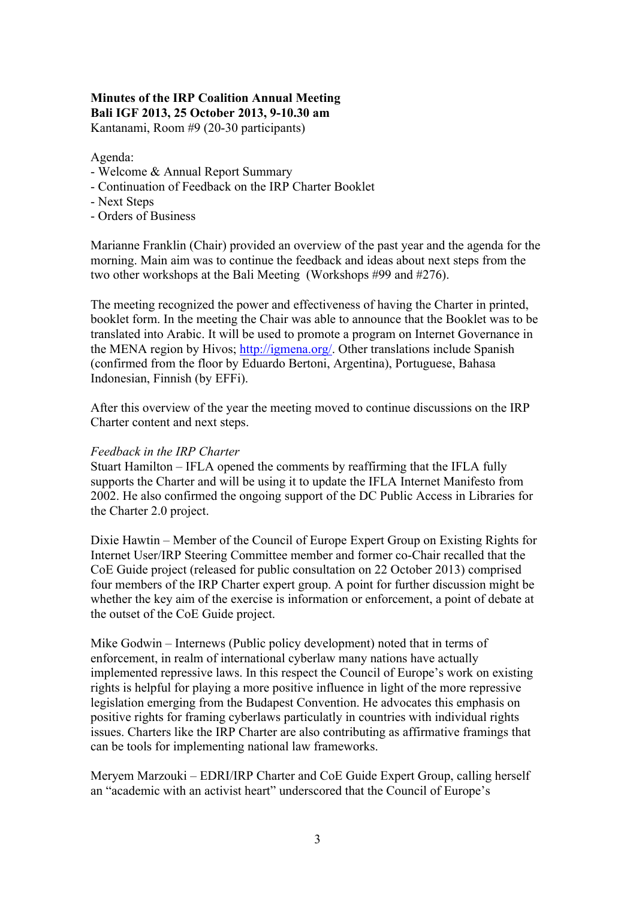# **Minutes of the IRP Coalition Annual Meeting Bali IGF 2013, 25 October 2013, 9-10.30 am**

Kantanami, Room #9 (20-30 participants)

Agenda:

- Welcome & Annual Report Summary
- Continuation of Feedback on the IRP Charter Booklet
- Next Steps
- Orders of Business

Marianne Franklin (Chair) provided an overview of the past year and the agenda for the morning. Main aim was to continue the feedback and ideas about next steps from the two other workshops at the Bali Meeting (Workshops #99 and #276).

The meeting recognized the power and effectiveness of having the Charter in printed, booklet form. In the meeting the Chair was able to announce that the Booklet was to be translated into Arabic. It will be used to promote a program on Internet Governance in the MENA region by Hivos; http://igmena.org/. Other translations include Spanish (confirmed from the floor by Eduardo Bertoni, Argentina), Portuguese, Bahasa Indonesian, Finnish (by EFFi).

After this overview of the year the meeting moved to continue discussions on the IRP Charter content and next steps.

#### *Feedback in the IRP Charter*

Stuart Hamilton – IFLA opened the comments by reaffirming that the IFLA fully supports the Charter and will be using it to update the IFLA Internet Manifesto from 2002. He also confirmed the ongoing support of the DC Public Access in Libraries for the Charter 2.0 project.

Dixie Hawtin – Member of the Council of Europe Expert Group on Existing Rights for Internet User/IRP Steering Committee member and former co-Chair recalled that the CoE Guide project (released for public consultation on 22 October 2013) comprised four members of the IRP Charter expert group. A point for further discussion might be whether the key aim of the exercise is information or enforcement, a point of debate at the outset of the CoE Guide project.

Mike Godwin – Internews (Public policy development) noted that in terms of enforcement, in realm of international cyberlaw many nations have actually implemented repressive laws. In this respect the Council of Europe's work on existing rights is helpful for playing a more positive influence in light of the more repressive legislation emerging from the Budapest Convention. He advocates this emphasis on positive rights for framing cyberlaws particulatly in countries with individual rights issues. Charters like the IRP Charter are also contributing as affirmative framings that can be tools for implementing national law frameworks.

Meryem Marzouki – EDRI/IRP Charter and CoE Guide Expert Group, calling herself an "academic with an activist heart" underscored that the Council of Europe's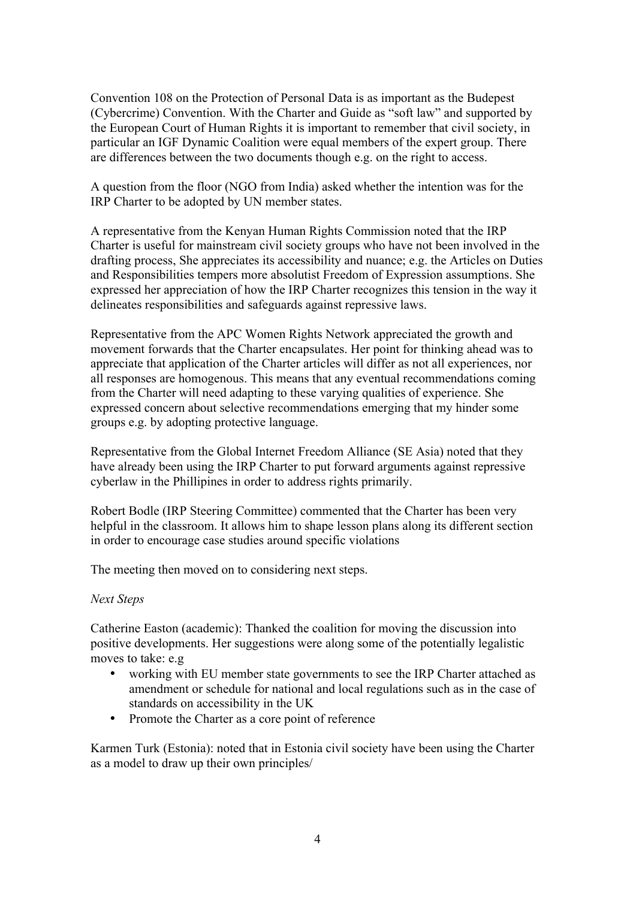Convention 108 on the Protection of Personal Data is as important as the Budepest (Cybercrime) Convention. With the Charter and Guide as "soft law" and supported by the European Court of Human Rights it is important to remember that civil society, in particular an IGF Dynamic Coalition were equal members of the expert group. There are differences between the two documents though e.g. on the right to access.

A question from the floor (NGO from India) asked whether the intention was for the IRP Charter to be adopted by UN member states.

A representative from the Kenyan Human Rights Commission noted that the IRP Charter is useful for mainstream civil society groups who have not been involved in the drafting process, She appreciates its accessibility and nuance; e.g. the Articles on Duties and Responsibilities tempers more absolutist Freedom of Expression assumptions. She expressed her appreciation of how the IRP Charter recognizes this tension in the way it delineates responsibilities and safeguards against repressive laws.

Representative from the APC Women Rights Network appreciated the growth and movement forwards that the Charter encapsulates. Her point for thinking ahead was to appreciate that application of the Charter articles will differ as not all experiences, nor all responses are homogenous. This means that any eventual recommendations coming from the Charter will need adapting to these varying qualities of experience. She expressed concern about selective recommendations emerging that my hinder some groups e.g. by adopting protective language.

Representative from the Global Internet Freedom Alliance (SE Asia) noted that they have already been using the IRP Charter to put forward arguments against repressive cyberlaw in the Phillipines in order to address rights primarily.

Robert Bodle (IRP Steering Committee) commented that the Charter has been very helpful in the classroom. It allows him to shape lesson plans along its different section in order to encourage case studies around specific violations

The meeting then moved on to considering next steps.

### *Next Steps*

Catherine Easton (academic): Thanked the coalition for moving the discussion into positive developments. Her suggestions were along some of the potentially legalistic moves to take: e.g

- working with EU member state governments to see the IRP Charter attached as amendment or schedule for national and local regulations such as in the case of standards on accessibility in the UK
- Promote the Charter as a core point of reference

Karmen Turk (Estonia): noted that in Estonia civil society have been using the Charter as a model to draw up their own principles/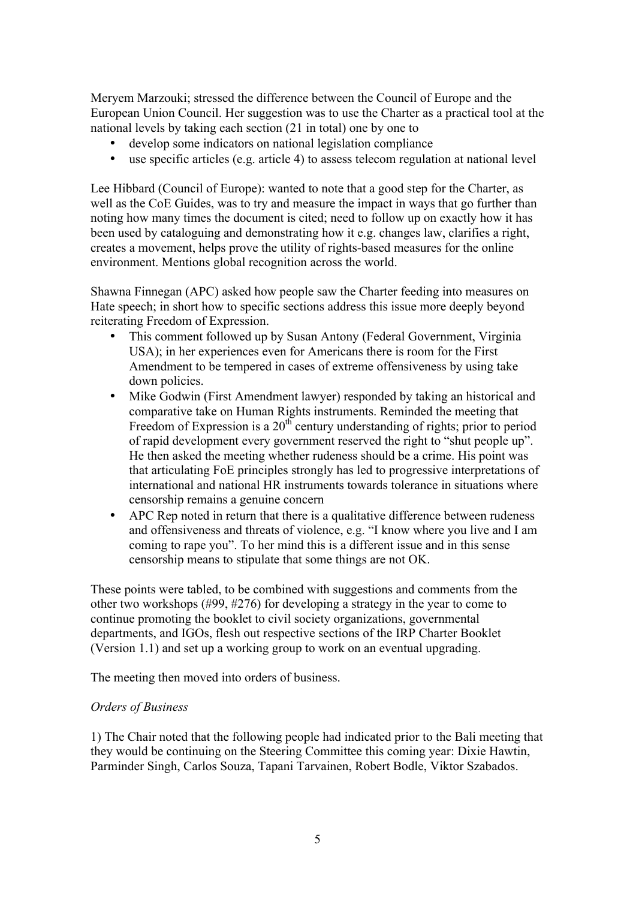Meryem Marzouki; stressed the difference between the Council of Europe and the European Union Council. Her suggestion was to use the Charter as a practical tool at the national levels by taking each section (21 in total) one by one to

- develop some indicators on national legislation compliance
- use specific articles (e.g. article 4) to assess telecom regulation at national level

Lee Hibbard (Council of Europe): wanted to note that a good step for the Charter, as well as the CoE Guides, was to try and measure the impact in ways that go further than noting how many times the document is cited; need to follow up on exactly how it has been used by cataloguing and demonstrating how it e.g. changes law, clarifies a right, creates a movement, helps prove the utility of rights-based measures for the online environment. Mentions global recognition across the world.

Shawna Finnegan (APC) asked how people saw the Charter feeding into measures on Hate speech; in short how to specific sections address this issue more deeply beyond reiterating Freedom of Expression.

- This comment followed up by Susan Antony (Federal Government, Virginia USA); in her experiences even for Americans there is room for the First Amendment to be tempered in cases of extreme offensiveness by using take down policies.
- Mike Godwin (First Amendment lawyer) responded by taking an historical and comparative take on Human Rights instruments. Reminded the meeting that Freedom of Expression is a  $20<sup>th</sup>$  century understanding of rights; prior to period of rapid development every government reserved the right to "shut people up". He then asked the meeting whether rudeness should be a crime. His point was that articulating FoE principles strongly has led to progressive interpretations of international and national HR instruments towards tolerance in situations where censorship remains a genuine concern
- APC Rep noted in return that there is a qualitative difference between rudeness and offensiveness and threats of violence, e.g. "I know where you live and I am coming to rape you". To her mind this is a different issue and in this sense censorship means to stipulate that some things are not OK.

These points were tabled, to be combined with suggestions and comments from the other two workshops (#99, #276) for developing a strategy in the year to come to continue promoting the booklet to civil society organizations, governmental departments, and IGOs, flesh out respective sections of the IRP Charter Booklet (Version 1.1) and set up a working group to work on an eventual upgrading.

The meeting then moved into orders of business.

## *Orders of Business*

1) The Chair noted that the following people had indicated prior to the Bali meeting that they would be continuing on the Steering Committee this coming year: Dixie Hawtin, Parminder Singh, Carlos Souza, Tapani Tarvainen, Robert Bodle, Viktor Szabados.